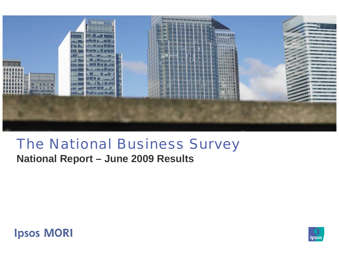

## The National Business Survey **National Report – June 2009 Results**



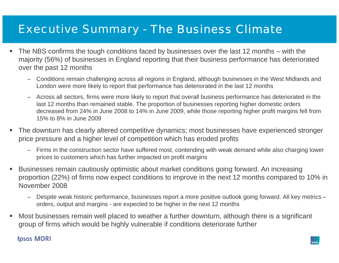## Executive Summary - The Business Climate

- $\blacksquare$  The NBS confirms the tough conditions faced by businesses over the last 12 months – with the majority (56%) of businesses in England reporting that their business perfor mance has deteriorated over the past 12 months
	- Conditions remain challenging across all regions in England, although businesses in the West Midlands and London were more likely to report that performance has deteriorated in the last 12 months
	- –Across all sectors, firms were more likely to report that overall business performance has deteriorated in the last 12 months than remained stable. The proportion of businesses reporting higher domestic orders decreased from 24% in June 2008 to 14% in June 2009, while those reporting higher profit margins fell from 15% to 8% in June 2009
- $\blacksquare$  The downturn has clearly altered competitive dynamics; most businesses have experienced stronger price pressure and a higher level of competition which has eroded profits
	- Firms i n the construction sector have suffered most, contending with weak demand while also chargi ng lower prices to customers which has further impacted on profit margins
- Businesses remain cautiously optimistic about market conditions going forward. An increasing proportion (22%) of firms now expect conditions to improve in the next 12 months compared to 10% in November 2008
	- Despite weak historic performance, businesses report a more positive outlook going forward. All key metrics orders, output and margins - are expected to be higher in the next 12 months
- I. Most businesses remain well placed to weather a further downturn, although there is a sig nificant group of fir ms which would be highly vulnerable if conditions deteriorate further

#### **Ipsos MORI**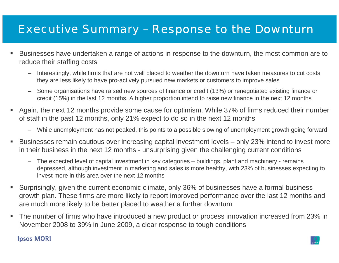## Executive Summary – Response to the Downturn

- Г Businesses have undertaken a range of actions in response to the downturn, the most common are to reduce their staffing costs
	- Interestingly, while firms that are not well placed to weather the downturn have taken measures to cut costs, they are less likely to have pro-actively pursued new markets or customers to improve sales
	- –Some organisations have raised new sources of finance or credit (13%) or renegotiated existing finance or credit (15%) in the last 12 months. A higher proportion intend to raise new finance in the next 12 months
- Г Again, the next 12 months provide some cause for optimism. While 37% of fir ms reduced their number of staff in the past 12 months, only 21% expect to do so in the next 12 months
	- While unemployment has not peaked, this points to a possible slowing of unem ployment growth going forward
- Г ■ Businesses remain cautious over increasing capital investment levels – only 23% intend to invest more in their business in the next 12 months - unsurprising given the challenging current conditions
	- The expected level of capital investment in key categories buildings, plant and machinery remains depressed, although investment in marketing and sales is more healthy, with 23% of businesses expecting to invest more in this area over the next 12 months
- Г Surprisingly, given the current economic climate, only 36% of businesses have a formal business growth plan. These firms are more likely to report improved performance over the last 12 months and are muc h more likely to be better placed to weather a further downturn
- $\blacksquare$ ■ The number of firms who have introduced a new product or process innovation increased from 23% in November 2008 to 39% in June 2009, a clear response to tough conditions

#### **Ipsos MORI**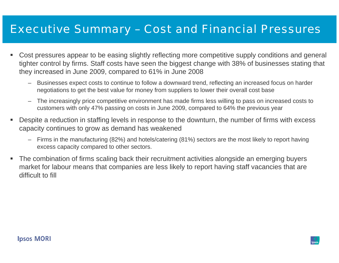## Executive Summary – Cost and Financial Pressures

- Г Cost pressures appear to be easing slightly reflecting more competitive supply con ditions and general tighter control by fir ms. Staff costs have seen the biggest change with 38% of businesses stating that they increased in June 2009, compared to 61% in June 2008
	- Businesses expect costs to continue to follow a downward trend, reflecting an increased focus on harder negotiations to get the best value for money from suppliers to l ower their overall cost base
	- –The increasingly price competitive environment has made firms less willing to pass on increased costs to customers with only 47% passing on costs in June 2009, compared to 64% the previous year
- L ■ Despite a reduction in staffing levels in response to the downturn, the number of firms with excess capacity continues to grow as demand has weakened
	- Firms in the manufacturing (82%) and hotels/catering (81%) sectors are the most likely to report having excess capacity compared to other sectors.
- $\blacksquare$ • The combination of firms scaling back their recruitment activities alongside an emerging buyers market for labour means that companies are less likely to report having staff vacancies that are difficult to fill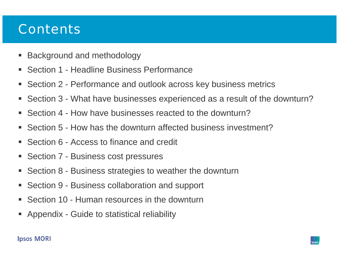## **Contents**

- $\blacksquare$ Background and methodology
- $\blacksquare$ Section 1 - Headline Business Performance
- п Section 2 - Performance and outlook across key business metrics
- $\blacksquare$ Section 3 - What have businesses experienced as a result of the downturn?
- $\blacksquare$ Section 4 - How have businesses reacted to the downturn?
- $\mathcal{L}_{\mathcal{A}}$ Section 5 - How has the downturn affected business investment?
- $\blacksquare$ Section 6 - Access to finance and credit
- $\blacksquare$ Section 7 - Business cost pressures
- $\blacksquare$ Section 8 - Business strategies to weather the downturn
- Е Section 9 - Business collaboration and support
- $\blacksquare$ Section 10 - Human resources in the downturn
- $\blacksquare$ Appendix - Guide to statistical reliability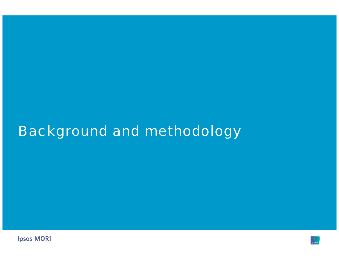# Background and methodology

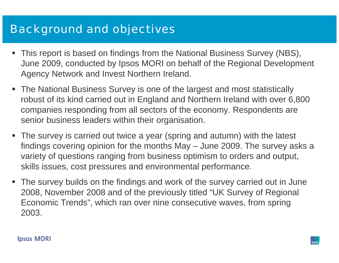## Background and objectives

- This report is based on findings from the National Business Survey (NBS), June 2009, conducted by Ipsos MORI on behalf of the Regional Development Agency Net work and Invest Northern Ireland.
- The National Business Survey is one of the largest and most statistically robust of its kind carried out in England and Northern Ireland with over 6,800 companies responding from all sectors of the economy. Respondents are senior business leaders within their organisation.
- The survey is carried out twice a year (spring and autumn) with the latest findings covering opinion for the months May – June 2009. The survey asks a variety of questions ranging from business optimism to orders and output, skills issues, cost pressures and environmental performance.
- The survey builds on the findings and work of the survey carried out in June 2008, November 2008 and of the previously titled "UK Survey of Regional Economic Trends", which ran over nine consecutive waves, from spring 2003.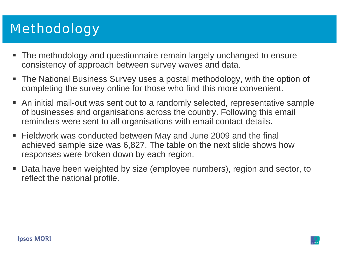# Methodology

- The methodology and questionnaire remain largely unchanged to ensure consistency of approach between survey waves and data.
- The National Business Survey uses a postal methodology, with the option of completing the survey online for those who find this more convenient.
- An initial mail-out was sent out to a randomly selected, representative sample of businesses and organisations across the country. Following this email reminders were sent to all organisations with email contact details.
- Fieldwork was conducted between May and June 2009 and the final achieved sample size was 6,827. The table on the next slide shows how responses were broken down by each region.
- Data have been weighted by size (employee numbers), region and sector, to reflect the national profile.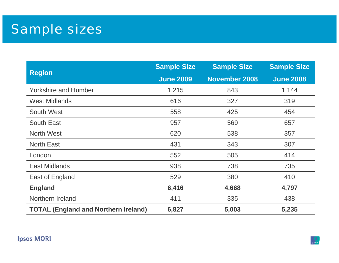# Sample sizes

| <b>Region</b>                               | <b>Sample Size</b> | <b>Sample Size</b>   | <b>Sample Size</b> |
|---------------------------------------------|--------------------|----------------------|--------------------|
|                                             | <b>June 2009</b>   | <b>November 2008</b> | <b>June 2008</b>   |
| <b>Yorkshire and Humber</b>                 | 1,215              | 843                  | 1,144              |
| <b>West Midlands</b>                        | 616                | 327                  | 319                |
| <b>South West</b>                           | 558                | 425                  | 454                |
| <b>South East</b>                           | 957                | 569                  | 657                |
| <b>North West</b>                           | 620                | 538                  | 357                |
| <b>North East</b>                           | 431                | 343                  | 307                |
| London                                      | 552                | 505                  | 414                |
| <b>East Midlands</b>                        | 938                | 738                  | 735                |
| East of England                             | 529                | 380                  | 410                |
| <b>England</b>                              | 6,416              | 4,668                | 4,797              |
| Northern Ireland                            | 411                | 335                  | 438                |
| <b>TOTAL (England and Northern Ireland)</b> | 6,827              | 5,003                | 5,235              |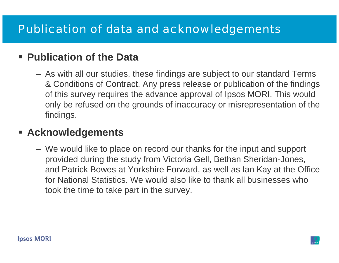### **Publication of the Data**

– As with all our studies, these findings are subject to our standard Terms & Conditions of Contract. Any press release or publication of the findings of this survey requires the advance approval of Ipsos MORI. This would only be refused on the grounds of inaccuracy or misrepresentation of the findings.

### **Acknowledgements**

– We would like to place on record our thanks for the input and support provided during the study from Victoria Gell, Bethan Sheridan-Jones, and Patrick Bowes at Yorkshire Forward, as well as Ian Kay at the Office for National Statistics. We would also like to thank all businesses who took the time to take part in the survey.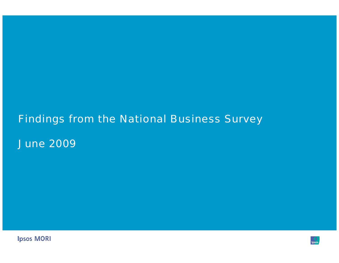### Findings from the National Business Survey

June 2009

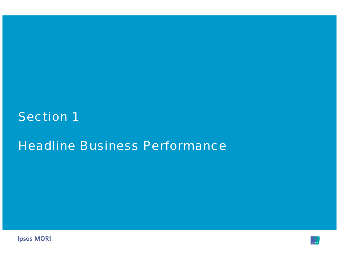### Section 1

## Headline Business Performance

**Ipsos MORI** 

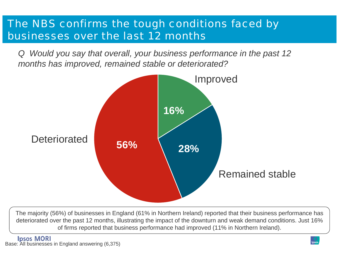## The NBS confirms the tough conditions faced by businesses over the last 12 months

*Q Would you say that overall, your business performance in the past 12 months has improved, remained stable or deteriorated?*



The majority (56%) of businesses in England (61% in Northern Ireland) reported that their business performance has deteriorated over the past 12 months, illustrating the impact of the downturn and weak demand conditions. Just 16% of firms reported that business performance had improved (11% in Northern Ireland).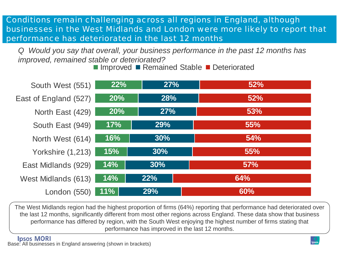Conditions remain challenging across all regions in England, although businesses in the West Midlands and London were more likely to report that performance has deteriorated in the last 12 months

*Q Would you say that overall, your business performance in the past 12 months has improved, remained stable or deteriorated?*

■ Improved ■ Remained Stable ■ Deteriorated



The West Midlands region had the highest proportion of firms (64%) reporting that performance had deteriorated over the last 12 months, significantly different from most other regions across England. These data show that business performance has differed by region, with the South West enjoying the highest number of firms stating that performance has improved in the last 12 months.

**Ipsos MORI** Base: All businesses in England answering (shown in brackets)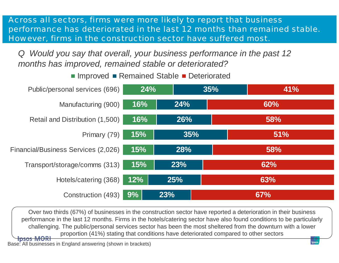Across all sectors, firms were more likely to report that business performance has deteriorated in the last 12 months than remained stable. However, firms in the construction sector have suffered most.

*Q Would you say that overall, your business performance in the past 12 months has improved, remained stable or deteriorated?*

Improved ■ Remained Stable ■ Deteriorated



Over two thirds (67%) of businesses in the construction sector have reported a deterioration in their business performance in the last 12 months. Firms in the hotels/catering sector have also found conditions to be particularly challenging. The public/personal services sector has been the most sheltered from the downturn with a lower proportion (41%) stating that conditions have deteriorated compared to other sectors **Ipsos MORI** 

Base: All businesses i n England answ ering (shown i n brackets)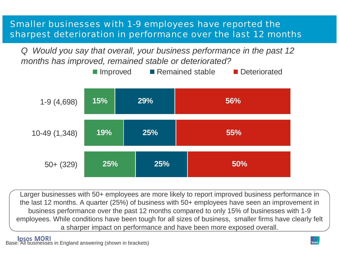Smaller businesses with 1-9 employees have reported the sharpest deterioration in performance over the last 12 months

*Q Would you say that overall, your business performance in the past 12 months has improved, remained stable or deteriorated?*



Im p r o v e dd ■ Remained stable e ■ Deteriorated

Larger businesses with 50+ employees are more likely to report improved business performance in the last 12 months. A quarter (25%) of business with 50+ employees have seen an improvement in business perfor mance over the past 12 months compared to only 15% of businesses with 1-9 employees. While conditions have been tough for all sizes of business, smaller fir ms have clearly felt a sharper impact on performance and have been more exposed overall.

Base: All businesses i n England answ ering (shown i n brackets)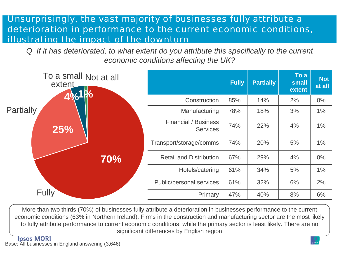Unsurprisingly, the vast majority of businesses fully attribute a deterioration in performance to the current economic conditions, illustrating the impact of the downturn

*Q If it has deteriorated, to what extent do you attribute this specifically to the current economic conditions affecting the UK?*



More than two thirds (70%) of businesses fully attribute a deterioration in businesses performance to the current economic conditions (63% in Northern Ireland). Firms in the construction and manufacturing sector are the most likely to fully attribute performance to current economic conditions, while the primary sector is least likely. There are no significant differences by English region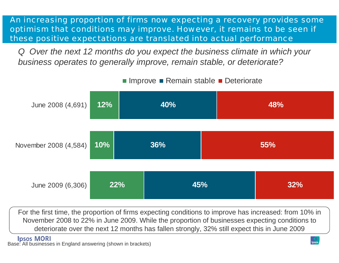An increasing proportion of firms now expecting a recovery provides some optimism that conditions may improve. However, it remains to be seen if these positive expectations are translated into actual performance

*Q Over the next 12 months do you expect the business climate in which your business operates to generally improve, remain stable, or deteriorate?*



For the first time, the proportion of firms expecting conditions to improve has increased: from 10% in November 2008 to 22% in June 2009. While the proportion of businesses expecting conditions to deterior ate over the next 12 months has fallen strongly, 32% still expect this in June 2009

**Ipsos MORI** Base: All businesses i n England answ ering (shown i n brackets)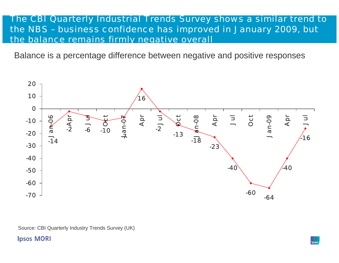The CBI Quarterly Industrial Trends Survey shows a similar trend to the NBS – business confidence has improved in January 2009, but the balance remains firmly negative overall

Balance is a percentage difference between negative and positive responses



#### **Ipsos MORI**

Source: CBI Quarterly Industry Trends Survey (UK)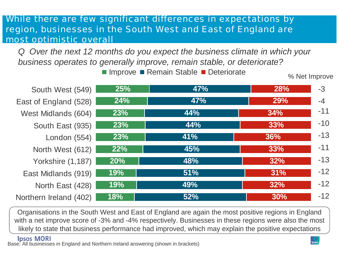While there are few significant differences in expectations by region, businesses in the South West and East of England are most optimistic overall

*Q Over the next 12 months do you expect the business climate in which your business operates to generally improve, remain stable, or deteriorate?*

■ Improve ■ Remain Stable ■ Deteriorate

<sup>%</sup> Net Improve

| South West (549)       | 25%        | 47% | <b>28%</b> | $-3$  |
|------------------------|------------|-----|------------|-------|
| East of England (528)  | 24%        | 47% | <b>29%</b> | $-4$  |
| West Midlands (604)    | <b>23%</b> | 44% | 34%        | $-11$ |
| South East (935)       | 23%        | 44% | 33%        | $-10$ |
| London (554)           | <b>23%</b> | 41% | 36%        | $-13$ |
| North West (612)       | 22%        | 45% | <b>33%</b> | $-11$ |
| Yorkshire (1,187)      | 20%        | 48% | 32%        | $-13$ |
| East Midlands (919)    | 19%        | 51% | 31%        | $-12$ |
| North East (428)       | 19%        | 49% | 32%        | $-12$ |
| Northern Ireland (402) | 18%        | 52% | 30%        | $-12$ |

Organisations in the South West and East of England are again the most positive regions in England with a net improve score of -3% and -4% respectively. Businesses in these regions were also the most likely to state that business performance had improved, which may explain the positive expectations

**Ipsos MORI** 

Base: All businesses in England and Northern Ireland answering (shown in brackets)

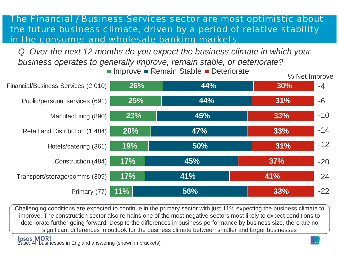The Financial / Business Services sector are most optimistic about the future business climate, driven by a period of relative stability in the consumer and wholesale banking markets

■ Improve ■ Remain Stable ■ Deteriorate *Q Over the next 12 months do you expect the business climate in which your business operates to generally improve, remain stable, or deteriorate?*



Challenging conditions are expected to continue in the primary sector with just 11% expecting the business climate to improve. The construction sector also remains one of the most negative sectors most likely to expect conditions to deteriorate further going forward. Despite the differences in business performance by business size, there are no significant differences in outlook for the business climate between smaller and larger businesses

**Ipsos MORI**<br>Base: All businesses in England answering (shown in brackets)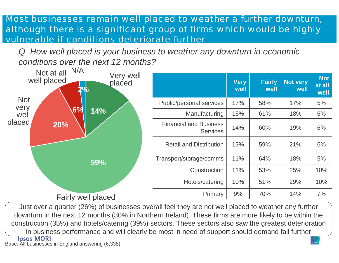Most businesses remain well placed to weather a further downturn, although there is a significant group of firms which would be highly vulnerable if conditions deteriorate further

*Q How well placed is your business to weather any downturn in economic conditions over the next 12 months?*



Just over a quarter (26%) of businesses overall feel they are not well placed to weather any further downturn in the next 12 months (30% in Northern Ireland). These firms are more likely to be within the construction (35%) and hotels/catering (39%) sectors. These sectors also saw the greatest deterioration in business performance and will clearly be most in need of support should demand fall further

**Ipsos MORI** 

Base: All businesses in England answering (6,338)

**Not at all well**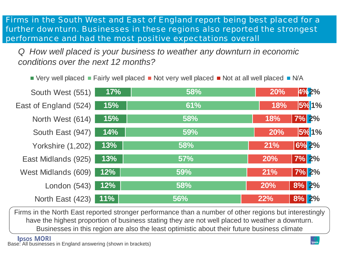Firms in the South West and East of England report being best placed for a further downturn. Businesses in these regions also reported the strongest performance and had the most positive expectations overall

*Q How well placed is your business to weather any downturn in economic conditions over the next 12 months?*

Very well placed • Fairly well placed • Not very well placed • Not at all well placed • N/A



Firms in the North East reported stronger perfor mance than a number of other regions but interestingly have the highest proportion of business stating they are not well placed to weather a downturn. Businesses in this region are also the least optimistic about their future business climate

**Ipsos MORI** Base: All businesses i n England answ ering (shown i n brackets)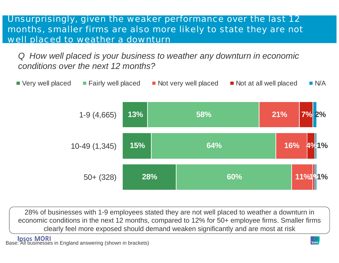Unsurprisingly, given the weaker performance over the last 12 months, smaller firms are also more likely to state they are not well placed to weather a downturn

*Q How well placed is your business to weather any downturn in economic conditions over the next 12 months?*



28% of businesses with 1-9 employees stated they are not well placed to weather a downturn in economic conditions in the next 12 months, compared to 12% for 50+ employee fir ms. Smaller fir ms clearly feel mor e exposed should demand weaken significantly and are most at risk

Base: All businesses i n England answ ering (shown i n brackets)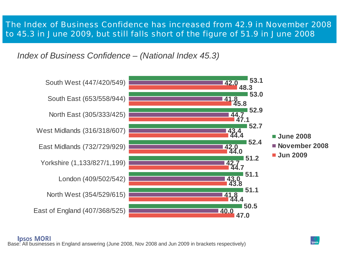#### The Index of Business Confidence has increased from 42.9 in November 2008 to 45.3 in June 2009, but still falls short of the figure of 51.9 in June 2008

#### *Index of Business Confidence – (National Index 45.3)*



**Ipsos MORI** Base: All businesses i n England answ ering (June 2008, Nov 2008 and Jun 2009 i n brackets respectively)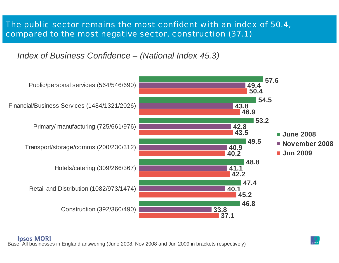The public sector remains the most confident with an index of 50.4, compared to the most negative sector, construction (37.1)

#### *Index of Business Confidence – (National Index 45.3)*



**Ipsos MORI** Base: All businesses i n England answ ering (June 2008, Nov 2008 and Jun 2009 i n brackets respectively)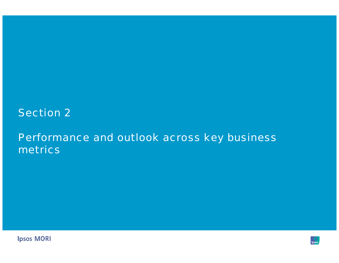#### Section 2

### Performance and outlook across key business metrics



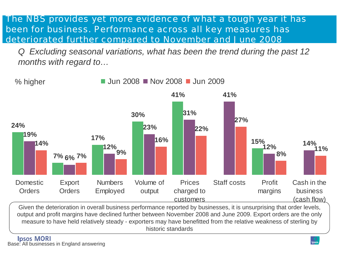The NBS provides yet more evidence of what a tough year it has been for business. Performance across all key measures has deteriorated further compared to November and June 2008

*Q Excluding seasonal variations, what has been the trend during the past 12 months with regard to…*



Given the deterioration in overall business performance reported by businesses, it is unsurprising that order levels, output and profit margins have declined further between November 2008 and June 2009. Export orders are the only measure to have held relatively steady - exporters may have benefitted from the relative weakness of sterling by historic standards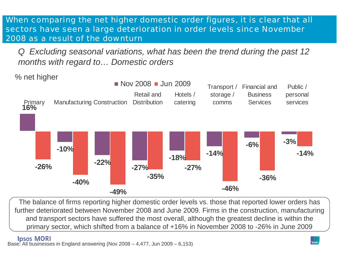When comparing the net higher domestic order figures, it is clear that all sectors have seen a large deterioration in order levels since November 2008 as a result of the downturn

*Q Excluding seasonal variations, what has been the trend during the past 12 months with regard to… Domestic orders*

% net higher



The balance of firms reporting higher domestic order levels vs. those that reported lower orders has further deteriorated between November 2008 and June 2009. Firms in the construction, manufacturing and transport sectors have suffered the most overall, although the greatest decline is within the primary sector, which shifted from a balance of +16% in November 2008 to -26% in June 2009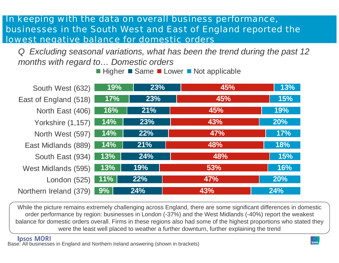In keeping with the data on overall business performance, businesses in the South West and East of England reported the lowest negative balance for domestic orders

*Q Excluding seasonal variations, what has been the trend during the past 12 months with regard to… Domestic orders*

**19% 17% 16%14% 14% 14% 13%13% 11% 9% 23% 23%21%23% 22% 21% 24% 19% 22%24% 45% 45%45% 43% 47%48% 48%53% 47%43%13% 15%19%20%17%18% 15%16% 20%24%**South West (632) E a st of Engla nd ( 518) N ort h East (4 0 6) Yorkshire (1,15 7) North W e st ( 597) E a st Midlands ( 8 8 9) South East (934) West Midlands (595) London (525) North ern Irelan d (379)

Higher ■ Same ■ Lower ■ Not applicable

While the picture remains extremely challenging across England, there are some significant differences in domestic order performance by region: businesses in London (-37%) and the West Midlands (-40%) report the weakest balance for domestic orders overall. Firms in these regions also had some of the highest proportions who stated they were the least well placed to weather a further downturn, further explaining the trend

**Ipsos MORI** 

Base: All businesses in England and Northern Ireland answering (shown in brackets)

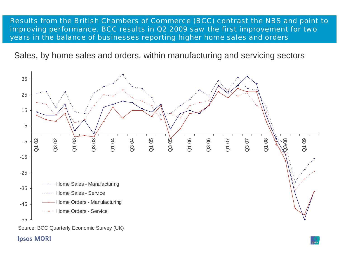Results from the British Chambers of Commerce (B C C) contrast t h e N B S and point to improving performance. BCC results in Q2 2009 saw the first improvement for two years in t he balance of businesses reporting higher home sales and orders

Sales, by home sales and orders, within manufacturing and servicing sector s



#### **Ipsos MORI**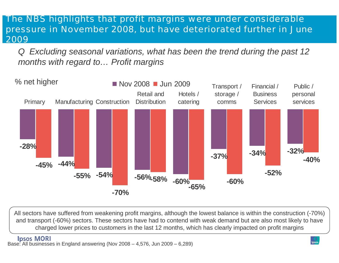The NBS highlights that profit margins were under considerable pressure in November 2008, but have deteriorated further in June 2009

*Q Excluding seasonal variations, what has been the trend during the past 12 months with regard to… Profit margins*



All sectors have suffered from weakening profit margins, although the lowest balance is within the construction (-70%) and transport (-60%) sectors. These sectors have had to contend with weak demand but are also most likely to have charged lower prices to customers in the last 12 months, which has clearly impacted on profit margins

#### **Ipsos MORI** Base: All businesses i n England answ ering (Nov 2008 – 4,576, Jun 2009 – 6,289)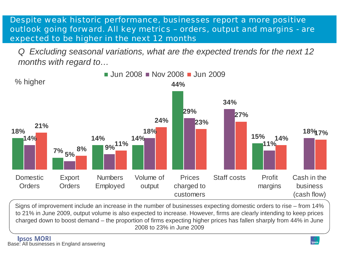Despite weak historic performance, businesses report a more positive outlook going forward. All key metrics – orders, output and margins - are expected to be higher in the next 12 months

*Q Excluding seasonal variations, what are the expected trends for the next 12 months with regard to…*



Signs of improvement include an increase in the number of businesses expecting domestic orders to rise – from 14% to 21% in June 2009, output volume is also expected to increase. However, firms are clearly intending to keep prices charged down to boost demand – the proportion of firms expecting higher prices has fallen sharply from 44% in June 2008 to 23% in June 2009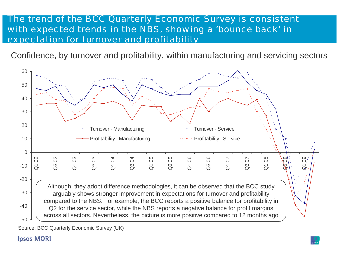The trend of the BCC Quarterly Economic Survey is consistent with expected trends in the NBS, showing a 'bounce back' in expectation for turnover and profitability

Confidence, by turnover and profitability, within manufacturing and servicing sectors



Source: BCC Quarterly Economic Survey (UK)

#### **Ipsos MORI**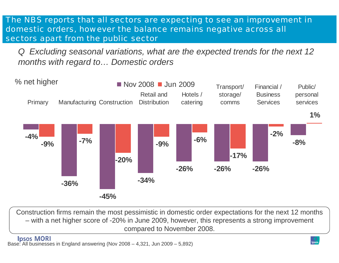The NBS reports that all sectors are expecting to see an improvement in domestic orders, however the balance remains negative across all sectors apart from the public sector

*Q Excluding seasonal variations, what are the expected trends for the next 12 months with regard to… Domestic orders*



Construction firms remain the most pessimistic in domestic order expectations for the next 12 months – with a net higher score of -20% in June 2009, however, this represents a strong improvement compared to November 2008.

![](_page_34_Picture_5.jpeg)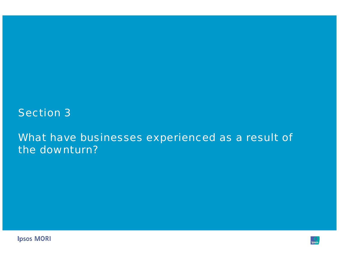#### Section 3

What have businesses experienced as a result of the downturn?

![](_page_35_Picture_2.jpeg)

![](_page_35_Picture_3.jpeg)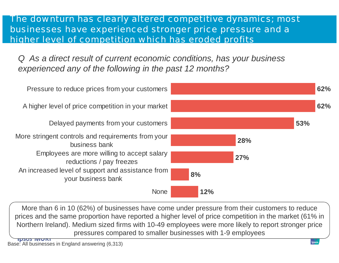The downturn has clearly altered competitive dynamics; most businesses have experienced stronger price pressure and a higher level of competition which has eroded profits

*Q As a direct result of current economic conditions, has your business experienced any of the following in the past 12 months?*



More than 6 in 10 (62%) of businesses have come under pressure from their customers to reduce prices and the same proportion have reported a higher level of price competition in the market (61% in Northern Ireland). Medium sized firms with 10-49 employees were more likely to report stronger price pressures compared to smaller businesses with 1-9 employees

**INOIN COCCI** Base: All b usin esses i n England answ ering (6,313)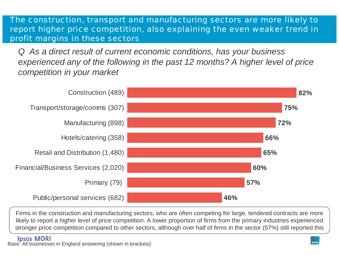The construction, transport and manufacturing sectors are more likely to report higher price competition, also explaining the even weaker trend in profit margins in these sectors

*Q As a direct result of current economic conditions, has your business experienced any of the following in the past 12 months? A higher level of price competition in your market*



Firms in the construction and manufacturing sectors, who are often competing for large, tendered contracts are more likely to report a higher level of price competition. A lower proportion of firms from the primary industries experienced stronger price competition compared to other sectors, although over half of firms in the sector (57%) still reported this

#### **Ipsos MORI** Base: All businesses i n England answ ering (shown i n brackets)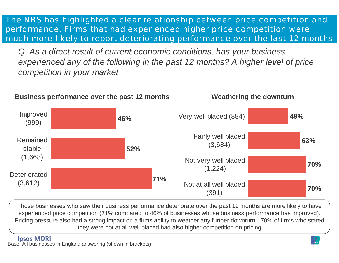The NBS has highlighted a clear relationship between price competition and performance. Firms that had experienced higher price competition were much more likely to report deteriorating performance over the last 12 months

*Q As a direct result of current economic conditions, has your business experienced any of the following in the past 12 months? A higher level of price competition in your market*



Those businesses who saw their business performance deteriorate over the past 12 months are more likely to have experienced price competition (71% compared to 46% of businesses whose business performance has improved). Pricing pressure also had a strong impact on a firms ability to weather any further downturn - 70% of firms who stated they were not at all well placed had also higher competition on pricing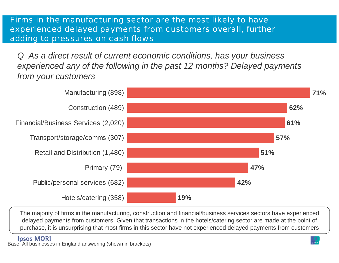Firms in the manufacturing sector are the most likely to have experienced delayed payments from customers overall, further adding to pressures on cash flows

*Q As a direct result of current economic conditions, has your business experienced any of the following in the past 12 months? Delayed payments from your customers*



The majority of firms in the manufacturing, construction and financial/business services sectors have experienced delayed payments from customers. Given that transactions in the hotels/catering sector are made at the point of purchase, it is unsurprising that most firms in this sector have not experienced delayed payments from customers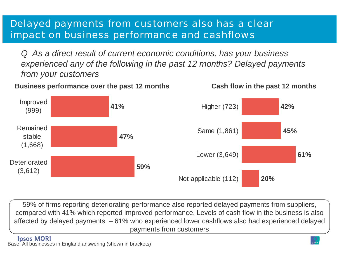# Delayed payments from customers also has a clear impact on business performance and cashflows

*Q As a direct result of current economic conditions, has your business experienced any of the following in the past 12 months? Delayed payments from your customers*

![](_page_40_Figure_2.jpeg)

59% of firms reporting deteriorating performance also reported delayed payments from suppliers, compared with 41% which reported improved performance. Levels of cash flow in the business is also affected by delayed payments – 61% who experienced lower cashflows also had experienced delayed payments from customers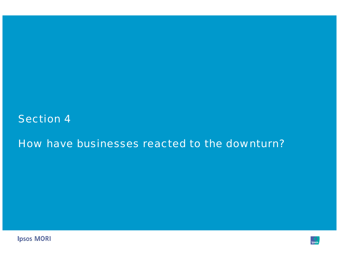Section 4

How have businesses reacted to the downturn?

![](_page_41_Picture_2.jpeg)

![](_page_41_Picture_3.jpeg)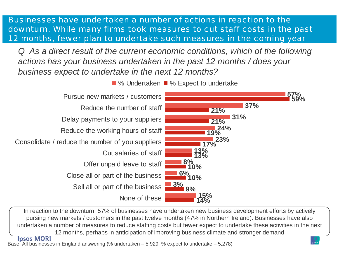Businesses have undertaken a number of actions in reaction to the downturn. While many firms took measures to cut staff costs in the past 12 months, fewer plan to undertake such measures in the coming year

*Q As a direct result of the current economic conditions, which of the following actions has your business undertaken in the past 12 months / does your business expect to undertake in the next 12 months?*

% Undertaken ■ % Expect to undertake

**24% 23%13%8%6% 3% 15% 14%21%21%19% 17%13%10%10% 9%**Pursue new markets / customersReduce the number of staffDelay payments to your suppliers Re d u c e t h e workin g h o urs of staff Consolidate / reduce the number of you suppliers Cut salaries of staffOffer u n paid leave t o staff Close all or p art of t he b u sines s S ell all or p art of the b u sines s None of these

**57%37%31%59%**

In reaction to the downturn, 57% of businesses have undertaken new business development efforts by actively pursing new markets / customers in the past twelve months (47% in Northern Ireland). Businesses have also undertaken a number of measures to reduce staffing costs but fewer expect to undertake these activities in the next 12 months, perhaps in anticipation of improving business climate and stronger demand

**Ipsos MORI** 

Base: All businesses in England answering (% undertaken – 5,929, % expect to undertake – 5,278)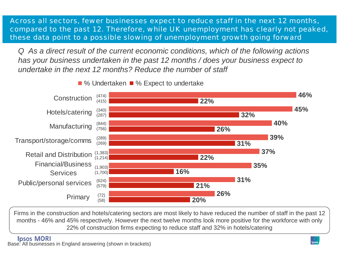Across all sectors, fewer businesses expect to reduce staff in the next 12 months, compared to the past 12. Therefore, while UK unemployment has clearly not peaked, these data point to a possible slowing of unemployment growth going forward

*Q As a direct result of the current economic conditions, which of the following actions has your business undertaken in the past 12 months / does your business expect to undertake in the next 12 months? Reduce the number of staff*

![](_page_43_Figure_2.jpeg)

% Undertaken ■ % Expect to undertake

Firms in the construction and hotels/catering sectors are most likely to have reduced the number of staff in the past 12 months - 46% and 45% respectively. However the next twelve months look more positive for the workforce with only 22% of construction firms expecting to reduce staff and 32% in hotels/catering

**Ipsos MORI** Base: All businesses in England answering (shown in brackets)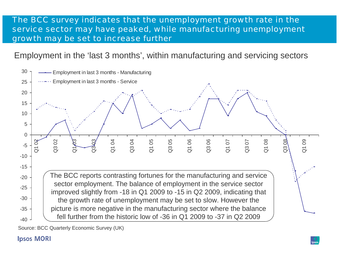The BCC survey indicates that the unemployment growth rate in the service sector may have peaked, while manufacturing unemployment growth may be set to increase further

Employment in the 'last 3 months', within manufacturing and servicing sectors

![](_page_44_Figure_2.jpeg)

Source: BCC Quarterly Economic Survey (UK)

### **Ipsos MORI**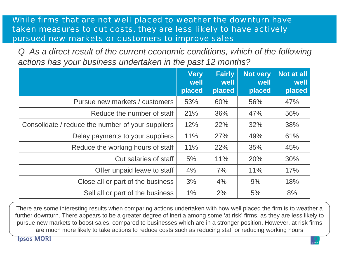While firms that are not well placed to weather the downturn have taken measures to cut costs, they are less likely to have actively pursued new markets or customers to improve sales

*Q As a direct result of the current economic conditions, which of the following actions has your business undertaken in the past 12 months?*

|                                                   | <b>Very</b><br>well<br>placed | <b>Fairly</b><br>well<br>placed | <b>Not very</b><br>well<br>placed | Not at all<br>well<br>placed |
|---------------------------------------------------|-------------------------------|---------------------------------|-----------------------------------|------------------------------|
| Pursue new markets / customers                    | 53%                           | 60%                             | 56%                               | 47%                          |
| Reduce the number of staff                        | 21%                           | 36%                             | 47%                               | 56%                          |
| Consolidate / reduce the number of your suppliers | 12%                           | 22%                             | 32%                               | 38%                          |
| Delay payments to your suppliers                  | 11%                           | 27%                             | 49%                               | 61%                          |
| Reduce the working hours of staff                 | 11%                           | 22%                             | 35%                               | 45%                          |
| Cut salaries of staff                             | 5%                            | 11%                             | 20%                               | 30%                          |
| Offer unpaid leave to staff                       | 4%                            | 7%                              | 11%                               | 17%                          |
| Close all or part of the business                 | 3%                            | 4%                              | 9%                                | 18%                          |
| Sell all or part of the business                  | 1%                            | 2%                              | 5%                                | 8%                           |

There are some interesting results when comparing actions undertaken with how well placed the firm is to weather a further downturn. There appears to be a greater degree of inertia among some 'at risk' firms, as they are less likely to pursue new markets to boost sales, compared to businesses which are in a stronger position. However, at risk firms are much more likely to take actions to reduce costs such as reducing staff or reducing working hours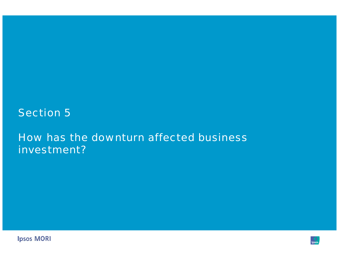# Section 5

# How has the downturn affected business investment?

![](_page_46_Picture_2.jpeg)

![](_page_46_Picture_3.jpeg)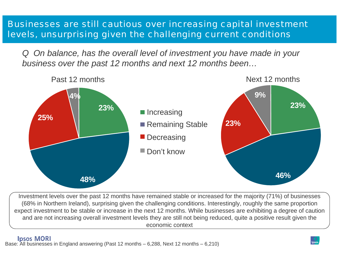# Businesses are still cautious over increasing capital investment levels, unsurprising given the challenging current conditions

*Q On balance, has the overall level of investment you have made in your business over the past 12 months and next 12 months been…*

![](_page_47_Figure_2.jpeg)

Investment levels over the past 12 months have remained stable or increased for the majority (71%) of businesses (68% in Northern Ireland), surprising given the challenging conditions. Interestingly, roughly the same proportion expect investment to be stable or increase in the next 12 months. While businesses are exhibiting a degree of caution and are not increasing overall investment levels they are still not being reduced, quite a positive result given the economic context

#### **Ipsos MORI** Base: All businesses in England answering (Past 12 months – 6,288, Next 12 months – 6,210)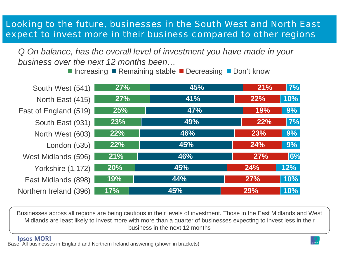# Looking to the future, businesses in the South West and North East expect to invest more in their business compared to other regions

## *Q On balance, has the overall level of investment you have made in your business over the next 12 months been…*

Increasing ■ Remaining stable ■ Decreasing ■ Don't know

![](_page_48_Figure_3.jpeg)

Businesses across all regions are being cautious in their levels of investment. Those in the East Midlands and West Midlands are least likely to invest more with more than a quarter of businesses expecting to invest less in their business in the next 12 months

#### **Ipsos MORI** Base: All businesses in England and Northern Ireland answering (shown in brackets)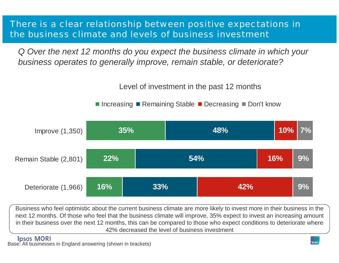There is a clear relationship between positive expectations in the business climate and levels of busines s investment

*Q Over the next 12 months do you expect the business climate in which your business operates to generally improve, remain stable, or deteriorate?*

Level of investment in the past 12 months

Increasing ■ Remaining Stable ■ Decreasing ■ Don't know

![](_page_49_Figure_4.jpeg)

Business who feel optimistic about the current business climate are more likely to invest more in their business in the next 12 months. Of those who feel that the business climate will improve, 35% expect to invest an increasing amount in their business over the next 12 months, this can be compared to those who expect conditions to deteriorate where 42% decreased the level of business investment

**Ipsos MORI** Base: All businesses i n England answ ering (shown i n brackets)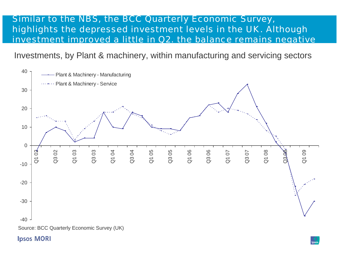Similar to the NBS, the BCC Q uarterly Economic Survey, highlights the depressed investment levels in the UK. Although investment improved a little in Q2. the balance remains negative

Investments, by Plant & machinery, within manufacturing and servicing sectors

![](_page_50_Figure_2.jpeg)

#### **Ipsos MORI**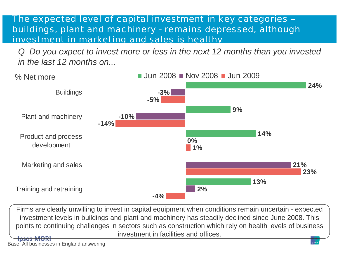The expected level of capital investment in key categories – buildings, plant and machinery - remains depressed, although investment in marketing and sales is healthy

*Q Do you expect to invest more or less in the next 12 months than you invested in the last 12 months on...*

![](_page_51_Figure_2.jpeg)

Firms are clearly unwilling to invest in capital equipment when conditions remain uncertain - expected investment levels in buildings and plant and machinery has steadily declined since June 2008. This points to continuing challenges in sectors such as construction which rely on health levels of business investment in facilities and offices. **Ipsos MORI** 

#### Base: All businesses in England answering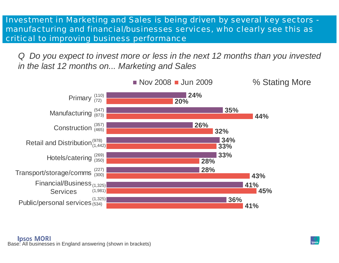Investment in Marketing and Sales is being driven by several key sectors manufacturing and financial/businesses services, who clearly see this as critical to improving business performance

Q Do you expect to invest more or less in the next 12 months than you invested *in the last 12 months on... Marketing and Sales*

![](_page_52_Figure_2.jpeg)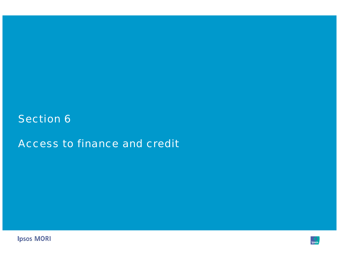Section 6

Access to finance and credit

![](_page_53_Picture_2.jpeg)

![](_page_53_Picture_3.jpeg)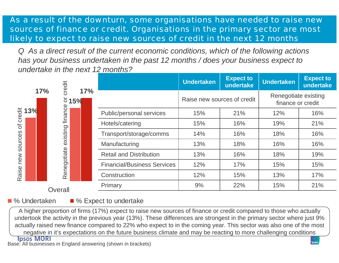As a result of the downturn, some organisations have needed to raise new sources of finance or credit. Organisations in the primary sector are most likely to expect to raise new sources of credit in the next 12 months

*Q As a direct result of the current economic conditions, which of the following actions has your business undertaken in the past 12 months / does your business expect to undertake in the next 12 months?* 

|                |                    | credit   |                                |                                    | <b>Undertaken</b> | <b>Expect to</b><br>undertake             | <b>Undertaken</b> | <b>Expect to</b><br>undertake |
|----------------|--------------------|----------|--------------------------------|------------------------------------|-------------------|-------------------------------------------|-------------------|-------------------------------|
| 17%            | $\overline{5}$ 15% | 17%      |                                | Raise new sources of credit        |                   | Renegotiate existing<br>finance or credit |                   |                               |
| credit         | 13%                | finance  |                                | Public/personal services           | 15%               | 21%                                       | 12%               | 16%                           |
| ð              |                    |          |                                | Hotels/catering                    | 15%               | 16%                                       | 19%               | 21%                           |
| sources<br>new |                    | existing |                                | Transport/storage/comms            | 14%               | 16%                                       | 18%               | 16%                           |
|                |                    |          | Manufacturing                  | 13%                                | 18%               | 16%                                       | 16%               |                               |
|                | Renegotiate        |          | <b>Retail and Distribution</b> | 13%                                | 16%               | 18%                                       | 19%               |                               |
|                |                    |          |                                | <b>Financial/Business Services</b> | 12%               | 17%                                       | 15%               | 15%                           |
| Raise          |                    |          |                                | Construction                       | 12%               | 15%                                       | 13%               | 17%                           |
|                |                    | Overall  |                                | Primary                            | 9%                | 22%                                       | 15%               | 21%                           |
|                |                    |          |                                |                                    |                   |                                           |                   |                               |

% Undertaken% Expect to undertake

A higher proportion of firms (17%) expect to raise new sources of finance or credit compared to those who actually undertook the activity in the previous year (13%). These differences are strongest in the primary sector where just 9% actually raised new finance compared to 22% who expect to in the coming year. This sector was also one of the most negative in it's expectations on the future business climate and may be reacting to more challenging conditions **Ipsos MORI** 

Base: All businesses i n England answ ering (shown i n brackets)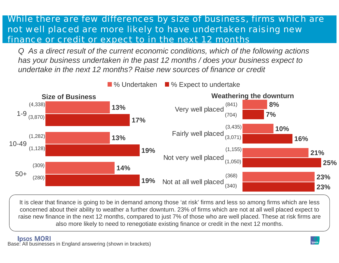While there are few differences by size of business, firms which are not well placed are more likely to have undertaken raising new finance or credit or expect to in the next 12 months

*Q As a direct result of the current economic conditions, which of the following actions has your business undertaken in the past 12 months / does your business expect to undertake in the next 12 months? Raise new sources of finance or credit*

![](_page_55_Figure_2.jpeg)

It is clear that finance is going to be in demand among those 'at risk' firms and less so among firms which are less concerned about their ability to weather a further downturn. 23% of firms which are not at all well placed expect to raise new finance in the next 12 months, compared to just 7% of those who are well placed. These at risk firms are also more likely to need to renegotiate existing finance or credit in the next 12 months.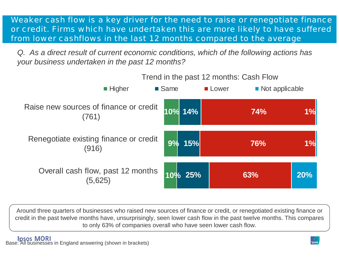Weaker cash flow is a key driver for the need to raise or renegotiate finance or credit. Firms which have undertaken this are more likely to have suffered from lower cashflows in the last 12 months compared to the average

*Q. As a direct result of current economic conditions, which of the following actions has your business undertaken in the past 12 months?*

![](_page_56_Figure_2.jpeg)

Trend in the past 12 months: Cash Flow

Around three quarters of businesses who raised new sources of finance or credit, or renegotiated existing finance or credit in the past twelve months have, unsurprisingly, seen lower cash flow in the past twelve months. This compares to only 63% of companies overall who have seen lower cash flow.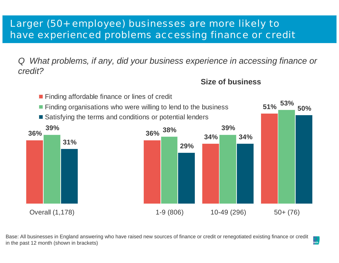# Larger (50+ employee) businesses are more likely to have experienced problems accessing finance or credit

*Q What problems, if any, did your business experience in accessing finance or credit?* 

### **Size of business**

sos

![](_page_57_Figure_3.jpeg)

Base: All businesses in England answering who have raised new sources of finance or credit or renegotiated existing finance or credit in the past 12 month (shown i n brackets)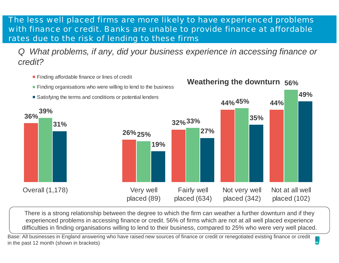The less well placed firms are more likely to have experienced problems with finance or credit. Banks are unable to provide finance at affordable rates due to the risk of lending to these firms

*Q What problems, if any, did your business experience in accessing finance or credit?* 

- Finding affordable fin ance or lines of credit
- Finding organisations who were willing to lend to the business
- Satisfying the terms and conditions or potential lenders

![](_page_58_Figure_5.jpeg)

There is a strong relationship between the degree to which the firm can weather a further downturn and if they experienced problems in accessing finance or credit. 56% of firms which are not at all well placed experience difficulties in finding organisations willing to lend to their business, compared to 25% who were very well placed.

Base: All businesses in England answering who have raised new sources of finance or credit or renegotiated existing finance or credit in the past 12 month (shown i n brackets)

![](_page_58_Figure_8.jpeg)

**49%**

os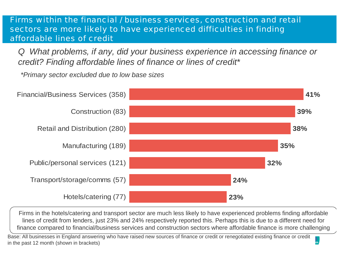Firms within the financial / business services, construction and retail sectors are more likely to have experienced difficulties in finding affordable lines of credit

*Q What problems, if any, did your business experience in accessing finance or credit? Finding affordable lines of finance or lines of credit\**

*\*Primary sector excluded due to low base sizes*

![](_page_59_Figure_3.jpeg)

Firms in the hotels/catering and transport sector are much less likely to have experienced problems finding affordable lines of credit from lenders, just 23% and 24% respectively reported this. Perhaps this is due to a different need for finance compared to financial/business services and construction sectors where affordable finance is more challenging

 $\overline{\mathsf{os}}$ 

Base: All businesses in England answering who have raised new sources of finance or credit or renegotiated existing finance or credit in the past 12 month (shown i n brackets)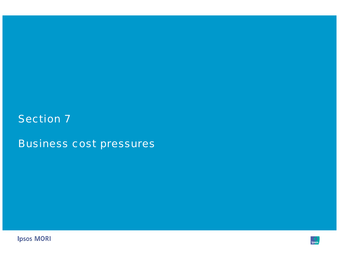# Section 7

Business cost pressures

![](_page_60_Picture_2.jpeg)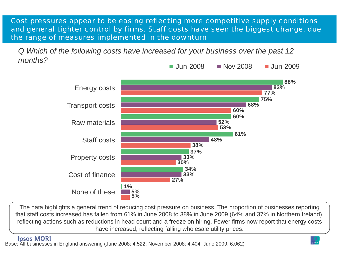Cost pressures appear to be easing reflecting more competitive supply conditions and general tighter control by firms. Staff costs have seen the biggest change, due the range of measures implemented in the downturn

*Q Which of the following costs have increased for your business over the past 12 months?*

![](_page_61_Figure_2.jpeg)

The data highlights a general trend of reducing cost pressure on business. The proportion of businesses reporting that staff costs increased has fallen from 61% in June 2008 to 38% in June 2009 (64% and 37% in Northern Ireland), reflecting actions such as reductions in head count and a freeze on hiring. Fewer firms now report that energy costs have increased, reflecting falling wholesale utility prices.

#### **Ipsos MORI**

Base: All businesses in England answering (June 2008: 4,522; November 2008: 4,404; June 2009: 6,062)

![](_page_61_Picture_6.jpeg)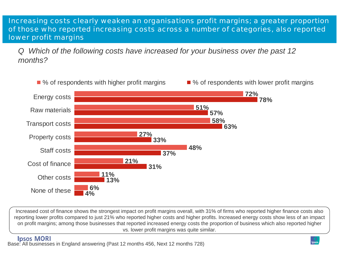Increasing costs clearly weaken an organisations profit margins; a greater proportion of those who reported increasing costs across a number of categories, also reported lower profit margins

*Q Which of the following costs have increased for your business over the past 12 months?*

![](_page_62_Figure_2.jpeg)

Increased cost of finance shows the strongest impact on profit margins overall, with 31% of firms who reported higher finance costs also reporting lower profits compared to just 21% who reported higher costs and higher profits. Increased energy costs show less of an impact on profit margins; among those businesses that reported increased energy costs the proportion of business which also reported higher vs. lower profit margins was quite similar.

### **Ipsos MORI**

Base: All businesses in England answering (Past 12 months 456, Next 12 months 728)

![](_page_62_Picture_6.jpeg)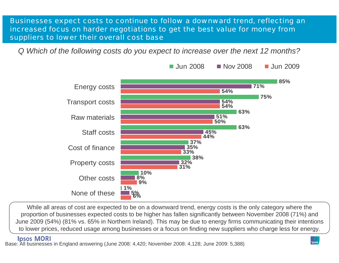Businesses expect costs to continue to follow a downward trend, reflecting an increased focus on harder negotiations to get the best value for money from suppliers to lower their overall cost base

*Q Which of the following costs do you expect to increase over the next 12 months?*

![](_page_63_Figure_2.jpeg)

While all areas of cost are expected to be on a downward trend, energy costs is the only category where the proportion of businesses expected costs to be higher has fallen significantly between November 2008 (71%) and June 2009 (54%) (81% vs. 65% in Northern Ireland). This may be due to energy firms communicating their intentions to lower prices, reduced usage among businesses or a focus on finding new suppliers who charge less for energy.

#### **Ipsos MORI**

Base: All businesses in England answering (June 2008: 4,420; November 2008: 4,128; June 2009: 5,388)

![](_page_63_Picture_6.jpeg)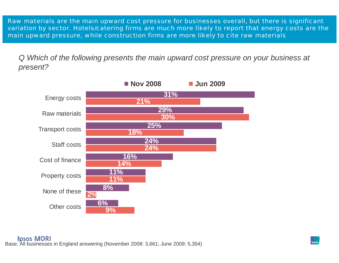Raw materials are the main upward cost pressure for businesses overall, but there is significant variation by sector. Hotels/catering firms are much more likely to report that energy costs are the main upward pressure, while construction firms are more likely to cite raw materials

*Q Which of the following presents the main upward cost pressure on your business at present?*

![](_page_64_Figure_2.jpeg)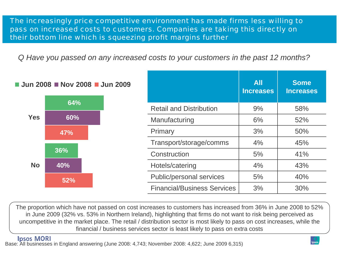The increasingly price competitive environment has made firms less willing to pass on increased costs to customers. C ompanies are t aking t his directly on t heir bot tom line which is squeezing profit mar gins fur ther

*Q Have you passed on any increased costs to your customers in the past 12 months?*

![](_page_65_Figure_2.jpeg)

|                                    | <b>All</b><br><b>Increases</b> | <b>Some</b><br><b>Increases</b> |
|------------------------------------|--------------------------------|---------------------------------|
| <b>Retail and Distribution</b>     | 9%                             | 58%                             |
| Manufacturing                      | 6%                             | 52%                             |
| Primary                            | 3%                             | 50%                             |
| Transport/storage/comms            | 4%                             | 45%                             |
| Construction                       | 5%                             | 41%                             |
| Hotels/catering                    | 4%                             | 43%                             |
| <b>Public/personal services</b>    | 5%                             | 40%                             |
| <b>Financial/Business Services</b> | 3%                             | 30%                             |

The proportion which have not passed on cost increases to customers has increased from 36% in June 2008 to 52% in June 2009 (32% vs. 53% in Northern Ireland), highlighting that firms do not want to risk being perceived as uncompetitive in the market place. The retail / distribution sector is most likely to pass on cost increases, while the financial / business services sector is least likely to pas s on extra costs

### **Ipsos MORI**

Base: All businesses i n England answ ering (June 2008: 4,743; November 2008: 4,622; June 2009 6,315)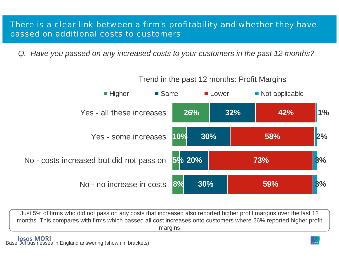### There is a clear link between a firm's profitability and whether they have passed on additional costs to customers

*Q. Have you passed on any increased costs to your customers in the past 12 months?*

![](_page_66_Figure_2.jpeg)

Trend in the past 12 months: Profit Margins

Just 5% of firms who did not pass on any costs that increased also reported higher profit margins over the last 12 months. This compares with firms which passed all cost increases onto customers where 26% reported higher profit margins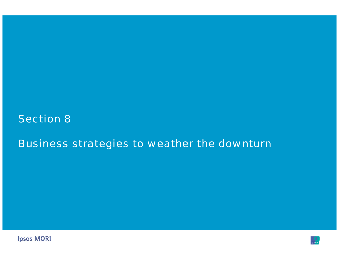Section 8

# Business strategies to weather the downturn

![](_page_67_Picture_2.jpeg)

![](_page_67_Picture_3.jpeg)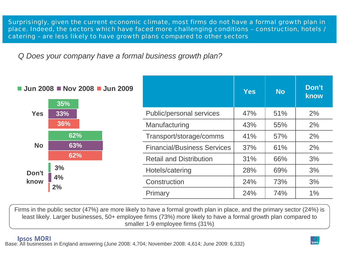Surprisingly, given the current economic climate, most firms do not have a formal growth plan in place. Indeed, the sectors which have faced more challenging conditions – construction, hotels / catering – are less likely to have growth plans compared to other sectors

*Q Does your company have a formal business growth plan?*

![](_page_68_Figure_2.jpeg)

Firms in the public sector (47%) are more likely to have a formal growth plan in place, and the primary sector (24%) is least likely. Larger businesses, 50+ employee firms (73%) more likely to have a formal growth plan compared to small er 1-9 employee firms (31%)

#### **Ipsos MORI**

Base: All businesses in England answering (June 2008: 4,704; November 2008: 4,614; June 2009: 6,332)

![](_page_68_Picture_6.jpeg)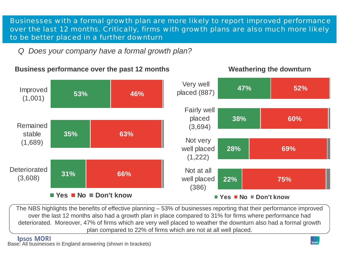Businesses with a formal growth plan are more likely to report improved performance over the last 12 months. Critically, firms with growth plans are also much more likely to be better placed in a further downturn

*Q Does your company have a formal growth plan?*

![](_page_69_Figure_2.jpeg)

**Business performance over the past 12 months Weathering the downturn** 

The NBS highlights the benefits of effective planning – 53% of businesses reporting that their performance improved over the last 12 months also had a growth plan in place compared to 31% for firms where performance had deteriorated. Moreover, 47% of firms which are very well placed to weather the downturn also had a formal growth plan compared to 22% of firms which are not at all well placed.

**Ipsos MORI** Base: All businesses in England answering (shown in brackets)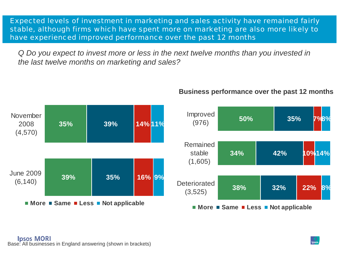Expected levels of investment in marketing and sales activity have remained fairly stable, although fir ms which have spent more on marketing are also more likely to have experienced i mproved per formance over t he past 12 months

*Q Do you expect to invest more or less in the next twelve months than you invested in the last twelve months on marketing and sales?*

![](_page_70_Figure_2.jpeg)

### **Business performance over t he past 12 months**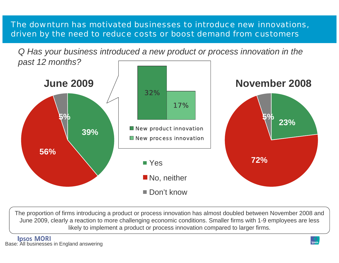The downturn has motivated businesses to introduce new innovations, driven by the need to reduce costs or boost demand from customers

*Q Has your business introduced a new product or process innovation in the past 12 months?*

![](_page_71_Figure_2.jpeg)

The proportion of firms introducing a product or process innovation has almost doubled between November 2008 and June 2009, clearly a reaction to more challenging economic conditions. Smaller firms with 1-9 employees are less likely to implement a product or process innovation compared to larger firms.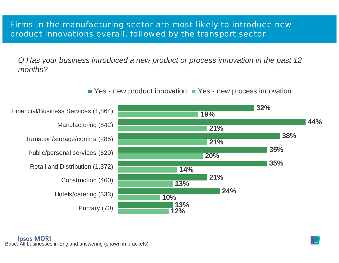*Q Has your business introduced a new product or process innovation in the past 12 months?*

Yes - new product innovation ■ Yes - new process innovation

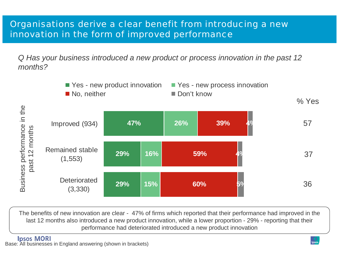### Organisations derive a clear benefit from introducing a new innovation in the form of i mproved performance

*Q Has your business introduced a new product or process innovation in the past 12 months?*



The benefits of new innovation are clear - 47% of firms which reported that their performance had improved in the last 12 months also introduced a new product innovation, while a lower proportion - 29% - reporting that their performance had deteriorated introduced a new product innovation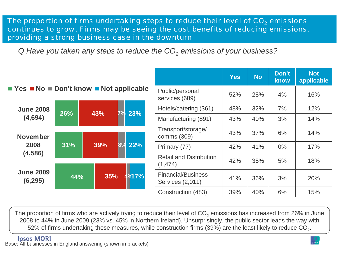The proportion of firms undertaking steps to reduce their level of CO $_{\rm 2}$  emissions continues to grow. Firms may be seeing the cost benefits of reducing emissions, providing a strong business case in the downturn

Q Have you taken any steps to reduce the CO<sub>2</sub> emissions of your business?



The proportion of firms who are actively trying to reduce their level of CO $_2$  emissions has increased from 26% in June 2008 to 44% in June 2009 (23% vs. 45% in Northern Ireland). Unsurprisingly, the public sector leads the way with 52% of firms undertaking these measures, while construction firms (39%) are the least likely to reduce CO<sub>2</sub>.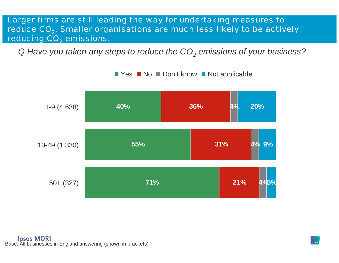Larger firms are still leading the way for undertaking measures to reduce CO $_{\rm 2}$ . Smaller organisations are much less likely to be actively  $\,$ reducing CO $_{\textrm{\tiny{2}}}$  emissions.

*Q Have you taken any steps to reduce the CO 2 emissions of your business?*



Yes ■No ■Don't know ■Not applicable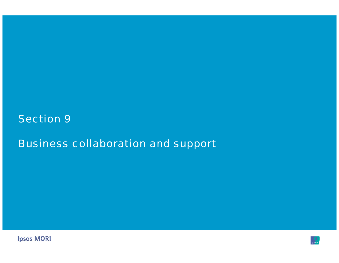## Section 9

# Business collaboration and support



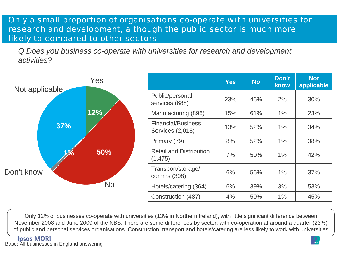Only a small proportion of organisations co-operate with universities for research and development, although the public sector is much more likely to compared to other sectors

*Q Does you business co-operate with universities for research and development activities?*



|                                                      | <b>Yes</b> | <b>No</b> | Don't<br>know | <b>Not</b><br>applicable |
|------------------------------------------------------|------------|-----------|---------------|--------------------------|
| Public/personal<br>services (688)                    | 23%        | 46%       | 2%            | 30%                      |
| Manufacturing (896)                                  | 15%        | 61%       | 1%            | 23%                      |
| <b>Financial/Business</b><br><b>Services (2,018)</b> | 13%        | 52%       | 1%            | 34%                      |
| Primary (79)                                         | 8%         | 52%       | 1%            | 38%                      |
| <b>Retail and Distribution</b><br>(1, 475)           | 7%         | 50%       | 1%            | 42%                      |
| Transport/storage/<br>comms (308)                    | 6%         | 56%       | 1%            | 37%                      |
| Hotels/catering (364)                                | 6%         | 39%       | 3%            | 53%                      |
| Construction (487)                                   | 4%         | 50%       | 1%            | 45%                      |

Only 12% of businesses co-operate with universities (13% in Northern Ireland), with little significant difference between November 2008 and June 2009 of the NBS. There are some differences by sector, with co-operation at around a quarter (23%) of public and personal services organisations. Construction, transport and hotels/catering are less likely to work with universities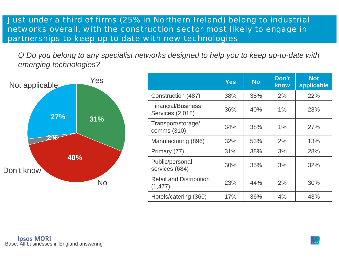Just under a third of firms (25% in Northern Ireland) belong to industrial networks overall, with the construction sector most likely to engage in partnerships to keep up to date with new technologies

*Q Do you belong to any specialist networks designed to help you to keep up-to-date with emerging technologies?*



|                                               | <b>Yes</b> | <b>No</b> | Don't<br>know | <b>Not</b><br>applicable |
|-----------------------------------------------|------------|-----------|---------------|--------------------------|
| Construction (487)                            | 38%        | 38%       | 2%            | 22%                      |
| <b>Financial/Business</b><br>Services (2,018) | 36%        | 40%       | $1\%$         | 23%                      |
| Transport/storage/<br>comms (310)             | 34%        | 38%       | $1\%$         | 27%                      |
| Manufacturing (896)                           | 32%        | 53%       | 2%            | 13%                      |
| Primary (77)                                  | 31%        | 38%       | 3%            | 28%                      |
| Public/personal<br>services (684)             | 30%        | 35%       | 3%            | 32%                      |
| <b>Retail and Distribution</b><br>(1, 477)    | 23%        | 44%       | 2%            | 30%                      |
| Hotels/catering (360)                         | 17%        | 36%       | 4%            | 43%                      |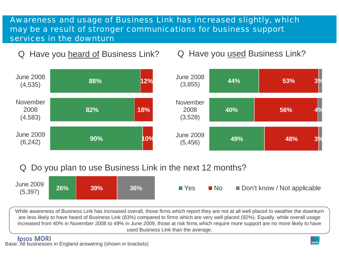Awareness and usage of Business Link has increased slightly, which may be a result of stronger communications for business support services in the downturn

## Q Have you heard of Business Link?

Q Have you used Business Link?



### Q Do you plan to use Business Link in the next 12 months?



While awareness of Business Link has increased overall, those firms which report they are not at all well placed to weather the downturn are less likely to have heard of Business Link (83%) compared to firms which are very well placed (92%). Equally, while overall usage increased from 40% in November 2008 to 49% in June 2009, those at risk firms which require more support are no more likely to have used Business Link than the average.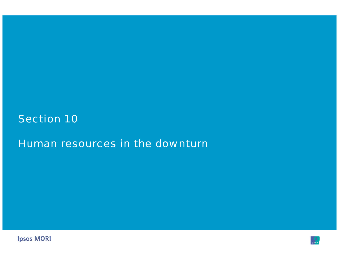## Section 10

# Human resources in the downturn



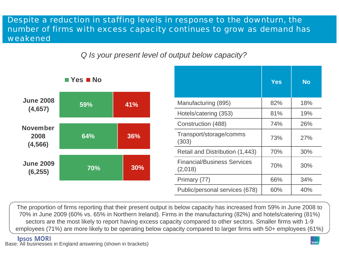Despite a reduction in staffing levels in response to the downturn, the number of firms with excess capacity continues to grow as demand has weakened

*Q Is your present level of output below capacity?*



|                                               | <b>Yes</b> | <b>No</b> |
|-----------------------------------------------|------------|-----------|
| Manufacturing (895)                           | 82%        | 18%       |
| Hotels/catering (353)                         | 81%        | 19%       |
| Construction (488)                            | 74%        | 26%       |
| Transport/storage/comms<br>(303)              | 73%        | 27%       |
| Retail and Distribution (1,443)               | 70%        | 30%       |
| <b>Financial/Business Services</b><br>(2,018) | 70%        | 30%       |
| Primary (77)                                  | 66%        | 34%       |
| Public/personal services (678)                | 60%        | 40%       |

The proportion of firms reporting that their present output is below capacity has increased from 59% in June 2008 to 70% in June 2009 (60% vs. 65% in Northern Ireland). Firms in the manufacturing (82%) and hotels/catering (81%) sectors are the most likely to report having excess capacity compared to other sectors. Smaller firms with 1-9 employees (71%) are more likely to be operating below capacity compared to larger firms with 50+ employees (61%)

#### **Ipsos MORI** Base: All businesses i n England answ ering (shown i n brackets)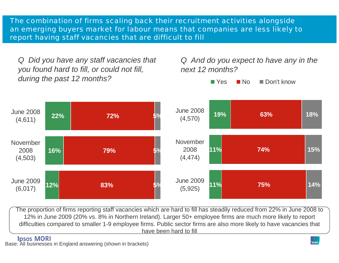The combination of firms scaling back their recruitment activities alongside an emerging buyers market for labour means that companies are less likely to report having staff vacancies that are difficult to fill

*Q Did you have any staff vacancies that you found hard to fill, or could not fill, during the past 12 months?*

*Q And do you expect to have any in the next 12 months?*

Don't know

**■** No

Yes



The proportion of firms reporting staff vacancies which are hard to fill has steadily reduced from 22% in June 2008 to 12% in June 2009 (20% vs. 8% in Northern Ireland). Larger 50+ employee firms are much more likely to report difficulties compared to smaller 1-9 employee firms. Public sector firms are also more likely to have vacancies that have been hard to fill

**Ipsos MORI** Base: All businesses in England answering (shown in brackets)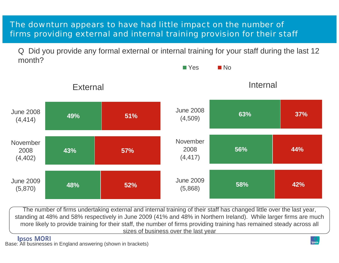The downturn appears to have had little impact on the number of firms providing external and internal training provision for their staff

Q Did you provide any formal external or internal training for your staff during the last 12 month?



The number of firms undertaking external and internal training of their staff has changed little over the last year, standing at 48% and 58% respectively in June 2009 (41% and 48% in Northern Ireland). While larger firms are much more likely to provide training for their staff, the number of firms providing training has remained steady across all sizes of business over t he l ast year

#### **Ipsos MORI** Base: All businesses i n England answ ering (shown i n brackets)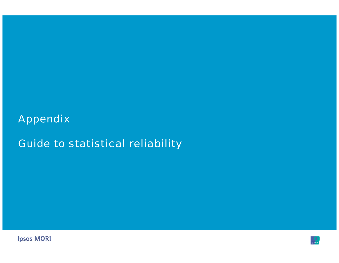Appendix

Guide to statistical reliability



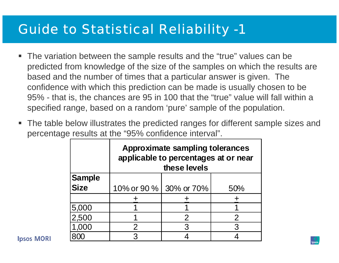# Guide to Statistical Reliability -1

- $\blacksquare$  The variation between the sample results and the "true" values can be predicted from knowledge of the size of the samples on which the results are based and the number of times that a particular answer is given. The confidence with which this prediction can be made is usually chosen to be 95% - that is, the chances are 95 in 100 that the "true" value will fall within a specified range, based on a random 'pure' sample of the population.
- $\blacksquare$  The table below illustrates the predicted ranges for different sample sizes and percentage results at the "95% confidence interval".

|             | <b>Approximate sampling tolerances</b><br>applicable to percentages at or near<br>these levels |   |                             |  |
|-------------|------------------------------------------------------------------------------------------------|---|-----------------------------|--|
| Sample      |                                                                                                |   |                             |  |
| <b>Size</b> | 10% or 90 %   30% or 70%                                                                       |   | 50%                         |  |
|             |                                                                                                |   |                             |  |
| 5,000       |                                                                                                |   |                             |  |
| 2,500       |                                                                                                |   | $\mathcal{P}_{\mathcal{C}}$ |  |
| 1,000       | $\mathcal{P}_{\mathcal{C}}$                                                                    | 3 | 3                           |  |
|             |                                                                                                |   |                             |  |

**Ipsos MORI**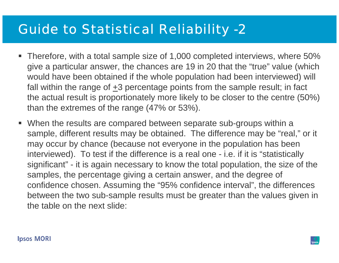# Guide to Statistical Reliability -2

- $\overline{\phantom{a}}$  Therefore, with a total sample size of 1,000 completed interviews, where 50% giv e a particular answer, the chances are 19 in 20 that the "true" value (which would have been obtained if the whole population had been interviewed) will fall within the range of  $\pm 3$  percentage points from the sample result; in fact the actual result is proportionately more likely to be closer to the centre (50%) than the extremes of the range (47% or 53%).
- $\blacksquare$  When the results are compared between separate sub-groups within a sample, different results may be obtained. The difference may be "real," or it may occur by chance (because not everyone in the population has been interviewed). To test if the difference is a real one - i.e. if it is "statistically significant" - it is again necessary to know the total population, the size of the samples, the percentage giving a certain answer, and the degree of confidence chosen. Assuming the "95% confidence interval", the differences between the two sub-sample results must be greater than the values given in the table on the next slide: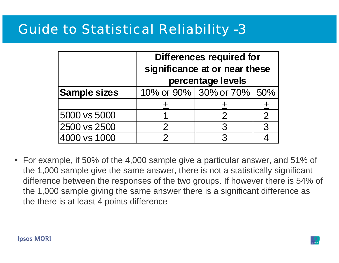# Guide to Statistical Reliability -3

|                     | Differences required for<br>significance at or near these<br>percentage levels |                               |   |  |
|---------------------|--------------------------------------------------------------------------------|-------------------------------|---|--|
| <b>Sample sizes</b> |                                                                                | 10% or 90%   30% or 70%   50% |   |  |
|                     |                                                                                |                               |   |  |
| 5000 vs 5000        |                                                                                |                               |   |  |
| 2500 vs 2500        |                                                                                | 3                             | 3 |  |
| 4000 vs 1000        |                                                                                |                               |   |  |

 For example, if 50% of the 4,000 sample give a particular ans wer, and 51% of the 1,000 sample give the same answer, there is not a statistically significant difference between the responses of the two groups. If however there is 54% of the 1,000 sample giving the same answer there is a significant difference as the there is at least 4 points difference